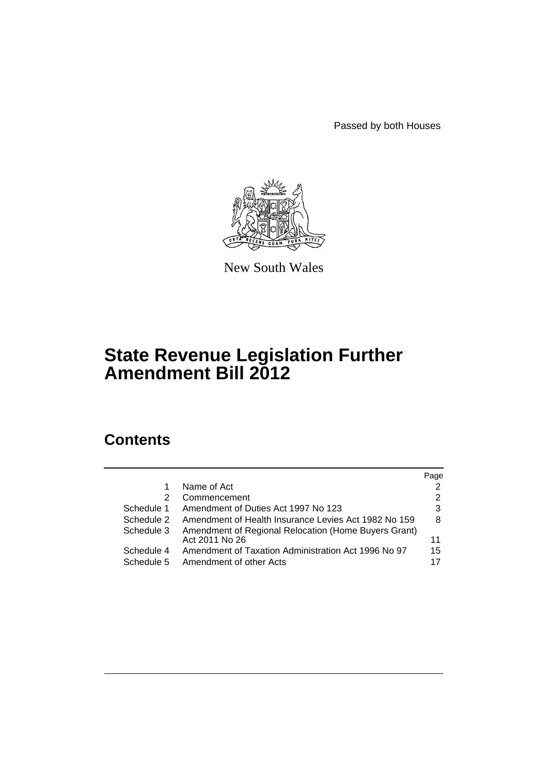Passed by both Houses



New South Wales

# **State Revenue Legislation Further Amendment Bill 2012**

# **Contents**

|                          |                                                                                | Page     |
|--------------------------|--------------------------------------------------------------------------------|----------|
|                          | Name of Act                                                                    | 2        |
| 2                        | Commencement                                                                   | 2        |
| Schedule 1               | Amendment of Duties Act 1997 No 123                                            | 3        |
| Schedule 2               | Amendment of Health Insurance Levies Act 1982 No 159                           | 8        |
| Schedule 3               | Amendment of Regional Relocation (Home Buyers Grant)<br>Act 2011 No 26         | 11       |
| Schedule 4<br>Schedule 5 | Amendment of Taxation Administration Act 1996 No 97<br>Amendment of other Acts | 15<br>17 |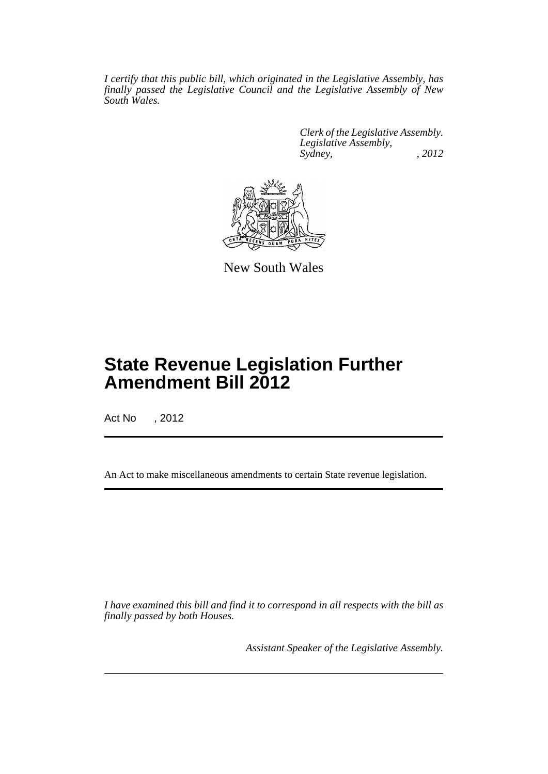*I certify that this public bill, which originated in the Legislative Assembly, has finally passed the Legislative Council and the Legislative Assembly of New South Wales.*

> *Clerk of the Legislative Assembly. Legislative Assembly, Sydney, , 2012*



New South Wales

# **State Revenue Legislation Further Amendment Bill 2012**

Act No , 2012

An Act to make miscellaneous amendments to certain State revenue legislation.

*I have examined this bill and find it to correspond in all respects with the bill as finally passed by both Houses.*

*Assistant Speaker of the Legislative Assembly.*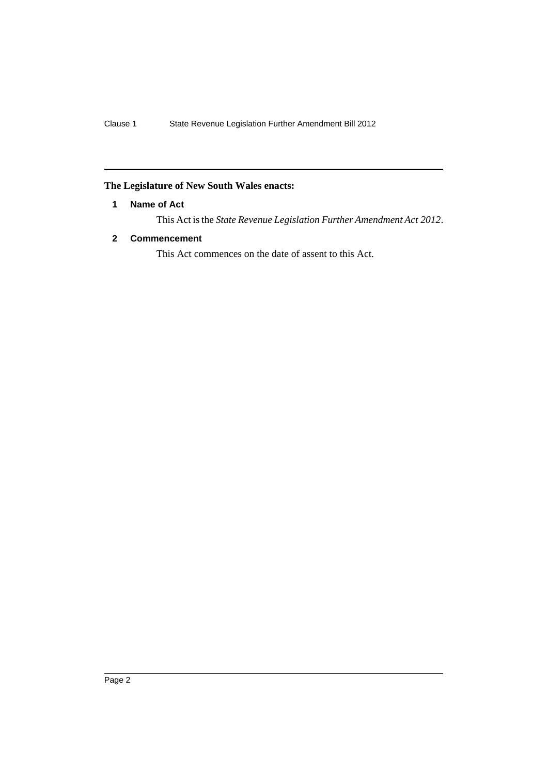## <span id="page-3-0"></span>**The Legislature of New South Wales enacts:**

## **1 Name of Act**

This Act is the *State Revenue Legislation Further Amendment Act 2012*.

## <span id="page-3-1"></span>**2 Commencement**

This Act commences on the date of assent to this Act.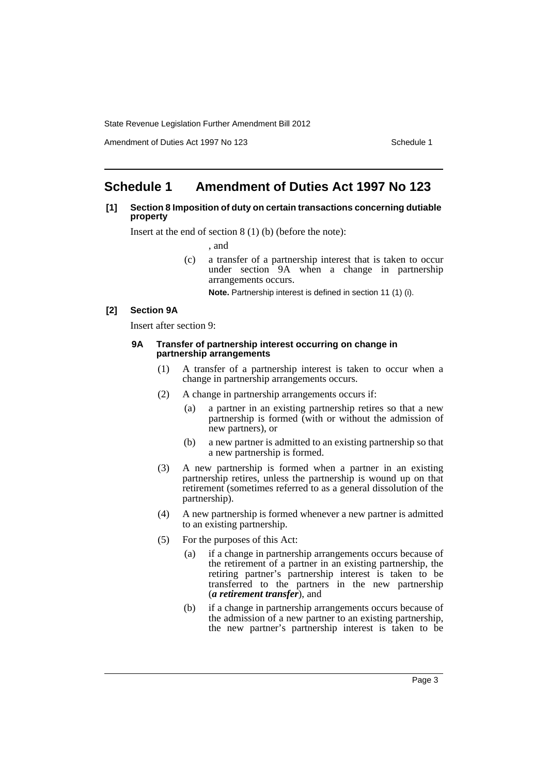Amendment of Duties Act 1997 No 123 Schedule 1

# <span id="page-4-0"></span>**Schedule 1 Amendment of Duties Act 1997 No 123**

#### **[1] Section 8 Imposition of duty on certain transactions concerning dutiable property**

Insert at the end of section 8 (1) (b) (before the note):

, and

(c) a transfer of a partnership interest that is taken to occur under section 9A when a change in partnership arrangements occurs.

**Note.** Partnership interest is defined in section 11 (1) (i).

## **[2] Section 9A**

Insert after section 9:

#### **9A Transfer of partnership interest occurring on change in partnership arrangements**

- (1) A transfer of a partnership interest is taken to occur when a change in partnership arrangements occurs.
- (2) A change in partnership arrangements occurs if:
	- (a) a partner in an existing partnership retires so that a new partnership is formed (with or without the admission of new partners), or
	- (b) a new partner is admitted to an existing partnership so that a new partnership is formed.
- (3) A new partnership is formed when a partner in an existing partnership retires, unless the partnership is wound up on that retirement (sometimes referred to as a general dissolution of the partnership).
- (4) A new partnership is formed whenever a new partner is admitted to an existing partnership.
- (5) For the purposes of this Act:
	- (a) if a change in partnership arrangements occurs because of the retirement of a partner in an existing partnership, the retiring partner's partnership interest is taken to be transferred to the partners in the new partnership (*a retirement transfer*), and
	- (b) if a change in partnership arrangements occurs because of the admission of a new partner to an existing partnership, the new partner's partnership interest is taken to be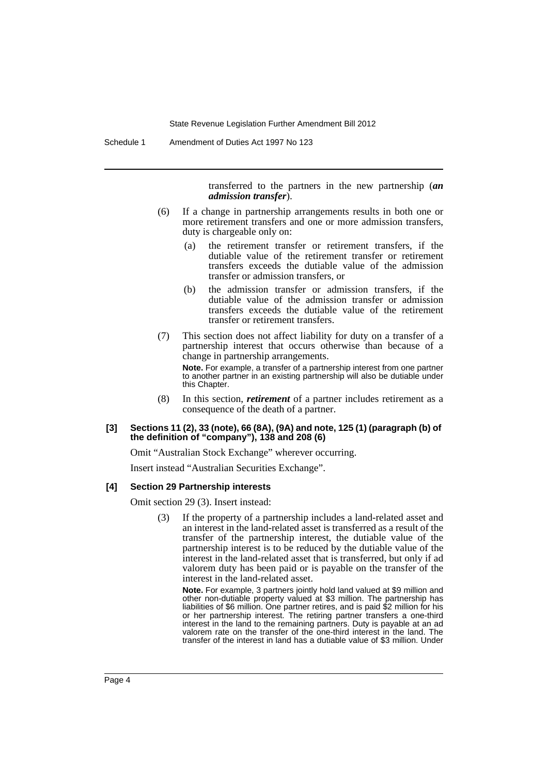Schedule 1 Amendment of Duties Act 1997 No 123

transferred to the partners in the new partnership (*an admission transfer*).

- (6) If a change in partnership arrangements results in both one or more retirement transfers and one or more admission transfers, duty is chargeable only on:
	- (a) the retirement transfer or retirement transfers, if the dutiable value of the retirement transfer or retirement transfers exceeds the dutiable value of the admission transfer or admission transfers, or
	- (b) the admission transfer or admission transfers, if the dutiable value of the admission transfer or admission transfers exceeds the dutiable value of the retirement transfer or retirement transfers.
- (7) This section does not affect liability for duty on a transfer of a partnership interest that occurs otherwise than because of a change in partnership arrangements.

**Note.** For example, a transfer of a partnership interest from one partner to another partner in an existing partnership will also be dutiable under this Chapter.

(8) In this section, *retirement* of a partner includes retirement as a consequence of the death of a partner.

#### **[3] Sections 11 (2), 33 (note), 66 (8A), (9A) and note, 125 (1) (paragraph (b) of the definition of "company"), 138 and 208 (6)**

Omit "Australian Stock Exchange" wherever occurring.

Insert instead "Australian Securities Exchange".

#### **[4] Section 29 Partnership interests**

Omit section 29 (3). Insert instead:

(3) If the property of a partnership includes a land-related asset and an interest in the land-related asset is transferred as a result of the transfer of the partnership interest, the dutiable value of the partnership interest is to be reduced by the dutiable value of the interest in the land-related asset that is transferred, but only if ad valorem duty has been paid or is payable on the transfer of the interest in the land-related asset.

**Note.** For example, 3 partners jointly hold land valued at \$9 million and other non-dutiable property valued at \$3 million. The partnership has liabilities of \$6 million. One partner retires, and is paid \$2 million for his or her partnership interest. The retiring partner transfers a one-third interest in the land to the remaining partners. Duty is payable at an ad valorem rate on the transfer of the one-third interest in the land. The transfer of the interest in land has a dutiable value of \$3 million. Under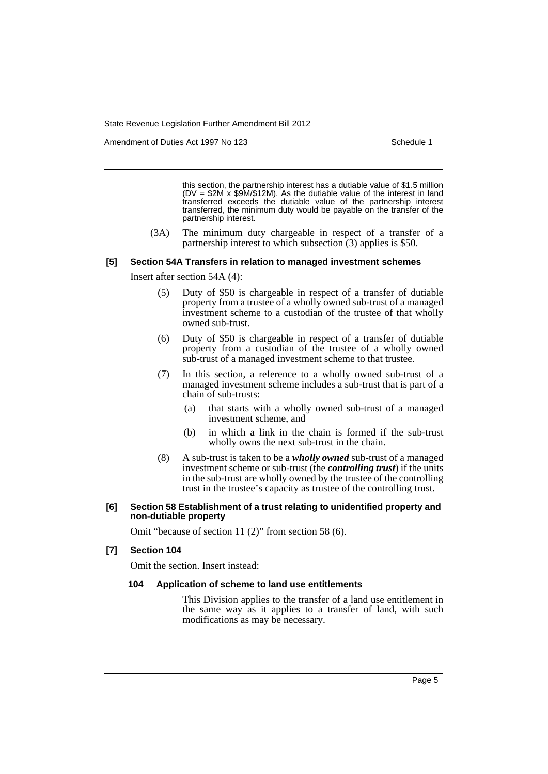Amendment of Duties Act 1997 No 123 Schedule 1

this section, the partnership interest has a dutiable value of \$1.5 million (DV = \$2M x \$9M/\$12M). As the dutiable value of the interest in land transferred exceeds the dutiable value of the partnership interest transferred, the minimum duty would be payable on the transfer of the partnership interest.

(3A) The minimum duty chargeable in respect of a transfer of a partnership interest to which subsection (3) applies is \$50.

#### **[5] Section 54A Transfers in relation to managed investment schemes**

Insert after section 54A (4):

- (5) Duty of \$50 is chargeable in respect of a transfer of dutiable property from a trustee of a wholly owned sub-trust of a managed investment scheme to a custodian of the trustee of that wholly owned sub-trust.
- (6) Duty of \$50 is chargeable in respect of a transfer of dutiable property from a custodian of the trustee of a wholly owned sub-trust of a managed investment scheme to that trustee.
- (7) In this section, a reference to a wholly owned sub-trust of a managed investment scheme includes a sub-trust that is part of a chain of sub-trusts:
	- (a) that starts with a wholly owned sub-trust of a managed investment scheme, and
	- (b) in which a link in the chain is formed if the sub-trust wholly owns the next sub-trust in the chain.
- (8) A sub-trust is taken to be a *wholly owned* sub-trust of a managed investment scheme or sub-trust (the *controlling trust*) if the units in the sub-trust are wholly owned by the trustee of the controlling trust in the trustee's capacity as trustee of the controlling trust.

#### **[6] Section 58 Establishment of a trust relating to unidentified property and non-dutiable property**

Omit "because of section 11 (2)" from section 58 (6).

## **[7] Section 104**

Omit the section. Insert instead:

#### **104 Application of scheme to land use entitlements**

This Division applies to the transfer of a land use entitlement in the same way as it applies to a transfer of land, with such modifications as may be necessary.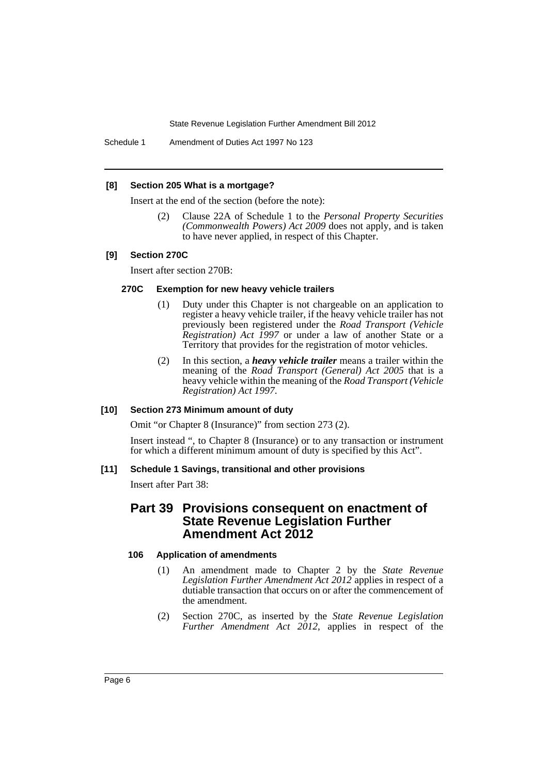Schedule 1 Amendment of Duties Act 1997 No 123

#### **[8] Section 205 What is a mortgage?**

Insert at the end of the section (before the note):

(2) Clause 22A of Schedule 1 to the *Personal Property Securities (Commonwealth Powers) Act 2009* does not apply, and is taken to have never applied, in respect of this Chapter.

#### **[9] Section 270C**

Insert after section 270B:

#### **270C Exemption for new heavy vehicle trailers**

- (1) Duty under this Chapter is not chargeable on an application to register a heavy vehicle trailer, if the heavy vehicle trailer has not previously been registered under the *Road Transport (Vehicle Registration) Act 1997* or under a law of another State or a Territory that provides for the registration of motor vehicles.
- (2) In this section, a *heavy vehicle trailer* means a trailer within the meaning of the *Road Transport (General) Act 2005* that is a heavy vehicle within the meaning of the *Road Transport (Vehicle Registration) Act 1997*.

## **[10] Section 273 Minimum amount of duty**

Omit "or Chapter 8 (Insurance)" from section 273 (2).

Insert instead ", to Chapter 8 (Insurance) or to any transaction or instrument for which a different minimum amount of duty is specified by this Act".

#### **[11] Schedule 1 Savings, transitional and other provisions**

Insert after Part 38:

# **Part 39 Provisions consequent on enactment of State Revenue Legislation Further Amendment Act 2012**

#### **106 Application of amendments**

- (1) An amendment made to Chapter 2 by the *State Revenue Legislation Further Amendment Act 2012* applies in respect of a dutiable transaction that occurs on or after the commencement of the amendment.
- (2) Section 270C, as inserted by the *State Revenue Legislation Further Amendment Act 2012*, applies in respect of the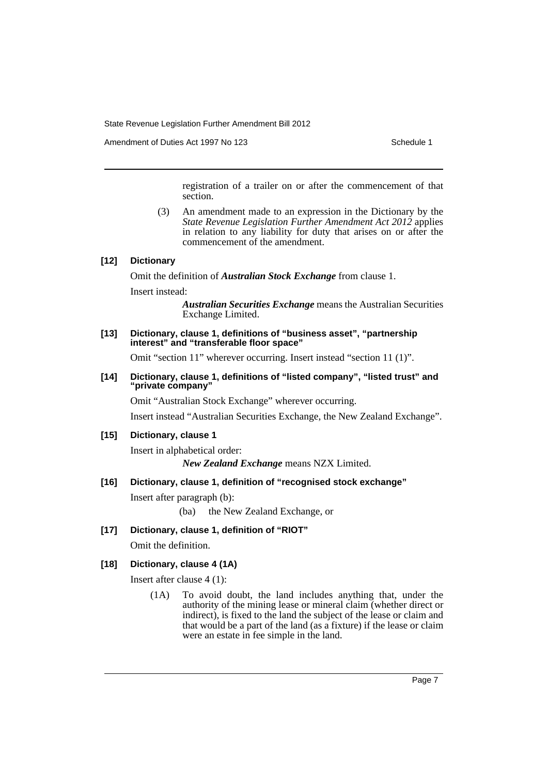Amendment of Duties Act 1997 No 123 Schedule 1

registration of a trailer on or after the commencement of that section.

(3) An amendment made to an expression in the Dictionary by the *State Revenue Legislation Further Amendment Act 2012* applies in relation to any liability for duty that arises on or after the commencement of the amendment.

## **[12] Dictionary**

Omit the definition of *Australian Stock Exchange* from clause 1.

Insert instead:

*Australian Securities Exchange* means the Australian Securities Exchange Limited.

**[13] Dictionary, clause 1, definitions of "business asset", "partnership interest" and "transferable floor space"**

Omit "section 11" wherever occurring. Insert instead "section 11 (1)".

**[14] Dictionary, clause 1, definitions of "listed company", "listed trust" and "private company"**

Omit "Australian Stock Exchange" wherever occurring.

Insert instead "Australian Securities Exchange, the New Zealand Exchange".

## **[15] Dictionary, clause 1**

Insert in alphabetical order: *New Zealand Exchange* means NZX Limited.

**[16] Dictionary, clause 1, definition of "recognised stock exchange"**

Insert after paragraph (b):

(ba) the New Zealand Exchange, or

**[17] Dictionary, clause 1, definition of "RIOT"**

Omit the definition.

## **[18] Dictionary, clause 4 (1A)**

Insert after clause 4 (1):

(1A) To avoid doubt, the land includes anything that, under the authority of the mining lease or mineral claim (whether direct or indirect), is fixed to the land the subject of the lease or claim and that would be a part of the land (as a fixture) if the lease or claim were an estate in fee simple in the land.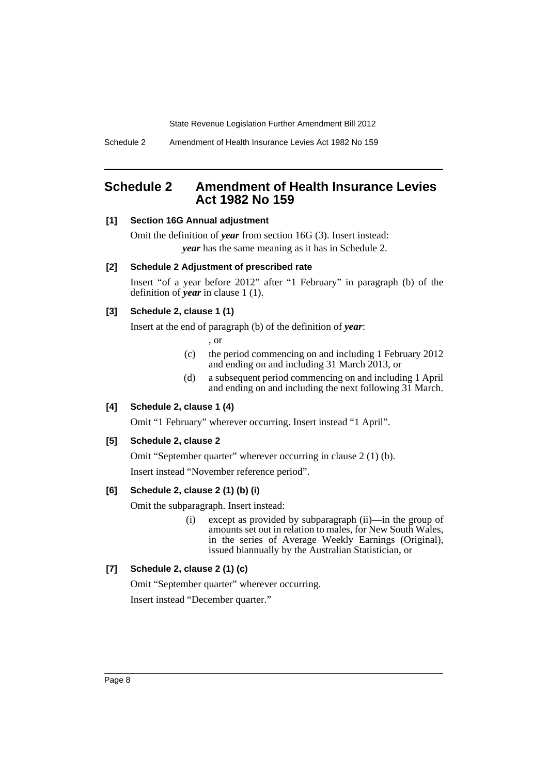# <span id="page-9-0"></span>**Schedule 2 Amendment of Health Insurance Levies Act 1982 No 159**

## **[1] Section 16G Annual adjustment**

Omit the definition of *year* from section 16G (3). Insert instead: *year* has the same meaning as it has in Schedule 2.

#### **[2] Schedule 2 Adjustment of prescribed rate**

Insert "of a year before 2012" after "1 February" in paragraph (b) of the definition of *year* in clause 1 (1).

## **[3] Schedule 2, clause 1 (1)**

Insert at the end of paragraph (b) of the definition of *year*:

, or

- (c) the period commencing on and including 1 February 2012 and ending on and including 31 March 2013, or
- (d) a subsequent period commencing on and including 1 April and ending on and including the next following 31 March.

## **[4] Schedule 2, clause 1 (4)**

Omit "1 February" wherever occurring. Insert instead "1 April".

#### **[5] Schedule 2, clause 2**

Omit "September quarter" wherever occurring in clause 2 (1) (b). Insert instead "November reference period".

## **[6] Schedule 2, clause 2 (1) (b) (i)**

Omit the subparagraph. Insert instead:

(i) except as provided by subparagraph (ii)—in the group of amounts set out in relation to males, for New South Wales, in the series of Average Weekly Earnings (Original), issued biannually by the Australian Statistician, or

## **[7] Schedule 2, clause 2 (1) (c)**

Omit "September quarter" wherever occurring. Insert instead "December quarter."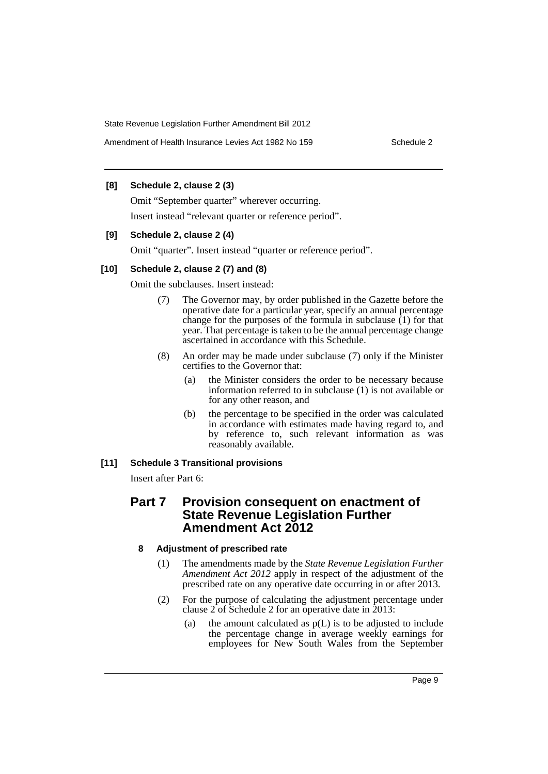## **[8] Schedule 2, clause 2 (3)**

Omit "September quarter" wherever occurring. Insert instead "relevant quarter or reference period".

#### **[9] Schedule 2, clause 2 (4)**

Omit "quarter". Insert instead "quarter or reference period".

#### **[10] Schedule 2, clause 2 (7) and (8)**

Omit the subclauses. Insert instead:

- (7) The Governor may, by order published in the Gazette before the operative date for a particular year, specify an annual percentage change for the purposes of the formula in subclause  $(1)$  for that year. That percentage is taken to be the annual percentage change ascertained in accordance with this Schedule.
- (8) An order may be made under subclause (7) only if the Minister certifies to the Governor that:
	- (a) the Minister considers the order to be necessary because information referred to in subclause (1) is not available or for any other reason, and
	- (b) the percentage to be specified in the order was calculated in accordance with estimates made having regard to, and by reference to, such relevant information as was reasonably available.

## **[11] Schedule 3 Transitional provisions**

Insert after Part 6:

## **Part 7 Provision consequent on enactment of State Revenue Legislation Further Amendment Act 2012**

## **8 Adjustment of prescribed rate**

- (1) The amendments made by the *State Revenue Legislation Further Amendment Act 2012* apply in respect of the adjustment of the prescribed rate on any operative date occurring in or after 2013.
- (2) For the purpose of calculating the adjustment percentage under clause 2 of Schedule 2 for an operative date in 2013:
	- (a) the amount calculated as  $p(L)$  is to be adjusted to include the percentage change in average weekly earnings for employees for New South Wales from the September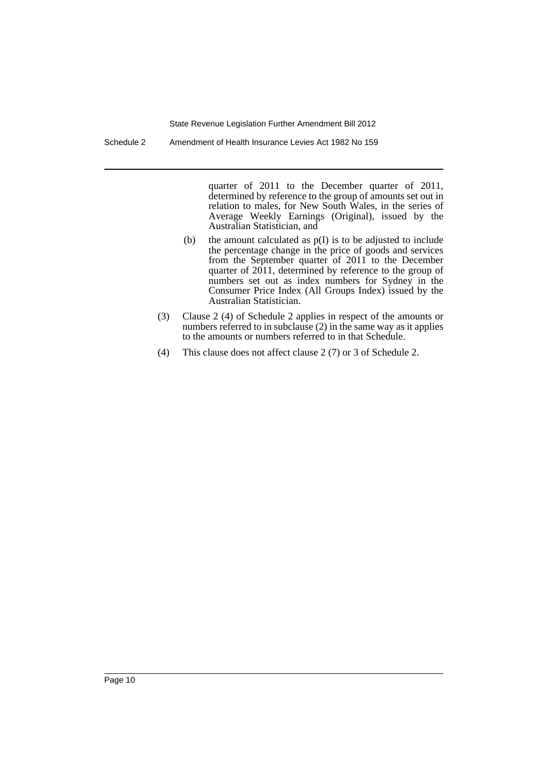Schedule 2 Amendment of Health Insurance Levies Act 1982 No 159

quarter of 2011 to the December quarter of 2011, determined by reference to the group of amounts set out in relation to males, for New South Wales, in the series of Average Weekly Earnings (Original), issued by the Australian Statistician, and

- (b) the amount calculated as p(I) is to be adjusted to include the percentage change in the price of goods and services from the September quarter of 2011 to the December quarter of 2011, determined by reference to the group of numbers set out as index numbers for Sydney in the Consumer Price Index (All Groups Index) issued by the Australian Statistician.
- (3) Clause 2 (4) of Schedule 2 applies in respect of the amounts or numbers referred to in subclause (2) in the same way as it applies to the amounts or numbers referred to in that Schedule.
- (4) This clause does not affect clause 2 (7) or 3 of Schedule 2.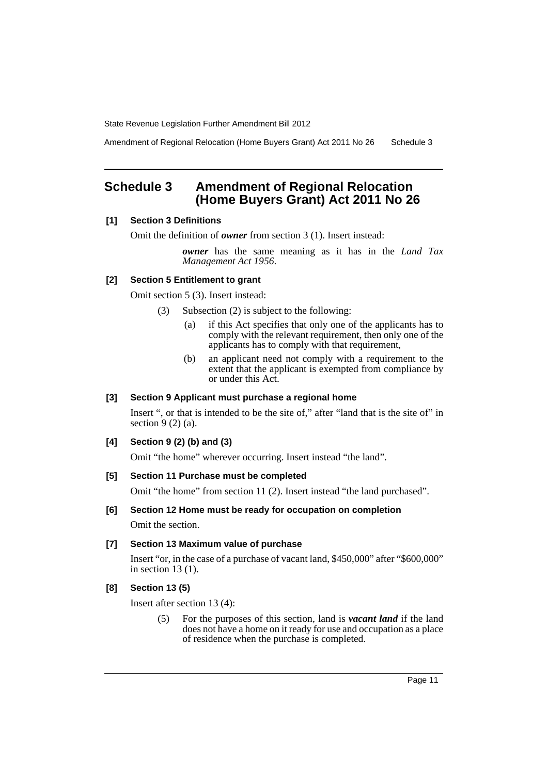Amendment of Regional Relocation (Home Buyers Grant) Act 2011 No 26 Schedule 3

# <span id="page-12-0"></span>**Schedule 3 Amendment of Regional Relocation (Home Buyers Grant) Act 2011 No 26**

#### **[1] Section 3 Definitions**

Omit the definition of *owner* from section 3 (1). Insert instead:

*owner* has the same meaning as it has in the *Land Tax Management Act 1956*.

## **[2] Section 5 Entitlement to grant**

Omit section 5 (3). Insert instead:

- (3) Subsection (2) is subject to the following:
	- (a) if this Act specifies that only one of the applicants has to comply with the relevant requirement, then only one of the applicants has to comply with that requirement,
	- (b) an applicant need not comply with a requirement to the extent that the applicant is exempted from compliance by or under this Act.

## **[3] Section 9 Applicant must purchase a regional home**

Insert ", or that is intended to be the site of," after "land that is the site of" in section  $9(2)(a)$ .

#### **[4] Section 9 (2) (b) and (3)**

Omit "the home" wherever occurring. Insert instead "the land".

## **[5] Section 11 Purchase must be completed**

Omit "the home" from section 11 (2). Insert instead "the land purchased".

#### **[6] Section 12 Home must be ready for occupation on completion**

Omit the section.

#### **[7] Section 13 Maximum value of purchase**

Insert "or, in the case of a purchase of vacant land, \$450,000" after "\$600,000" in section 13 (1).

## **[8] Section 13 (5)**

Insert after section 13 (4):

(5) For the purposes of this section, land is *vacant land* if the land does not have a home on it ready for use and occupation as a place of residence when the purchase is completed.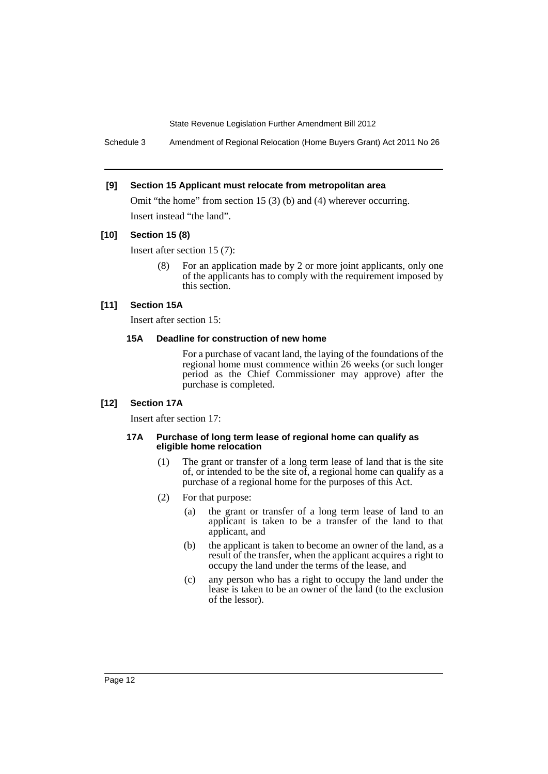Schedule 3 Amendment of Regional Relocation (Home Buyers Grant) Act 2011 No 26

#### **[9] Section 15 Applicant must relocate from metropolitan area**

Omit "the home" from section 15 (3) (b) and (4) wherever occurring. Insert instead "the land".

#### **[10] Section 15 (8)**

Insert after section 15 (7):

(8) For an application made by 2 or more joint applicants, only one of the applicants has to comply with the requirement imposed by this section.

#### **[11] Section 15A**

Insert after section 15:

#### **15A Deadline for construction of new home**

For a purchase of vacant land, the laying of the foundations of the regional home must commence within 26 weeks (or such longer period as the Chief Commissioner may approve) after the purchase is completed.

#### **[12] Section 17A**

Insert after section 17:

#### **17A Purchase of long term lease of regional home can qualify as eligible home relocation**

- (1) The grant or transfer of a long term lease of land that is the site of, or intended to be the site of, a regional home can qualify as a purchase of a regional home for the purposes of this Act.
- (2) For that purpose:
	- (a) the grant or transfer of a long term lease of land to an applicant is taken to be a transfer of the land to that applicant, and
	- (b) the applicant is taken to become an owner of the land, as a result of the transfer, when the applicant acquires a right to occupy the land under the terms of the lease, and
	- (c) any person who has a right to occupy the land under the lease is taken to be an owner of the land (to the exclusion of the lessor).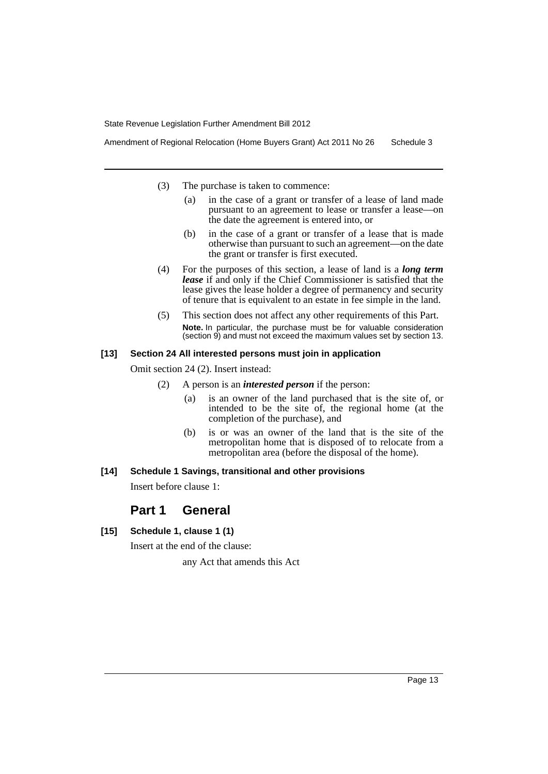Amendment of Regional Relocation (Home Buyers Grant) Act 2011 No 26 Schedule 3

- (3) The purchase is taken to commence:
	- (a) in the case of a grant or transfer of a lease of land made pursuant to an agreement to lease or transfer a lease—on the date the agreement is entered into, or
	- (b) in the case of a grant or transfer of a lease that is made otherwise than pursuant to such an agreement—on the date the grant or transfer is first executed.
- (4) For the purposes of this section, a lease of land is a *long term lease* if and only if the Chief Commissioner is satisfied that the lease gives the lease holder a degree of permanency and security of tenure that is equivalent to an estate in fee simple in the land.
- (5) This section does not affect any other requirements of this Part. **Note.** In particular, the purchase must be for valuable consideration (section 9) and must not exceed the maximum values set by section 13.

#### **[13] Section 24 All interested persons must join in application**

Omit section 24 (2). Insert instead:

- (2) A person is an *interested person* if the person:
	- (a) is an owner of the land purchased that is the site of, or intended to be the site of, the regional home (at the completion of the purchase), and
	- (b) is or was an owner of the land that is the site of the metropolitan home that is disposed of to relocate from a metropolitan area (before the disposal of the home).

#### **[14] Schedule 1 Savings, transitional and other provisions**

Insert before clause 1:

# **Part 1 General**

**[15] Schedule 1, clause 1 (1)**

Insert at the end of the clause:

any Act that amends this Act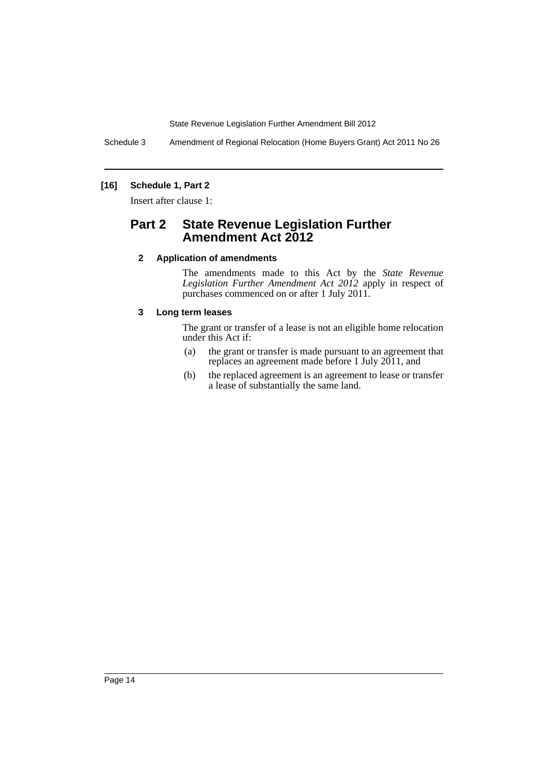Schedule 3 Amendment of Regional Relocation (Home Buyers Grant) Act 2011 No 26

## **[16] Schedule 1, Part 2**

Insert after clause 1:

# **Part 2 State Revenue Legislation Further Amendment Act 2012**

## **2 Application of amendments**

The amendments made to this Act by the *State Revenue Legislation Further Amendment Act 2012* apply in respect of purchases commenced on or after 1 July 2011.

## **3 Long term leases**

The grant or transfer of a lease is not an eligible home relocation under this Act if:

- (a) the grant or transfer is made pursuant to an agreement that replaces an agreement made before 1 July 2011, and
- (b) the replaced agreement is an agreement to lease or transfer a lease of substantially the same land.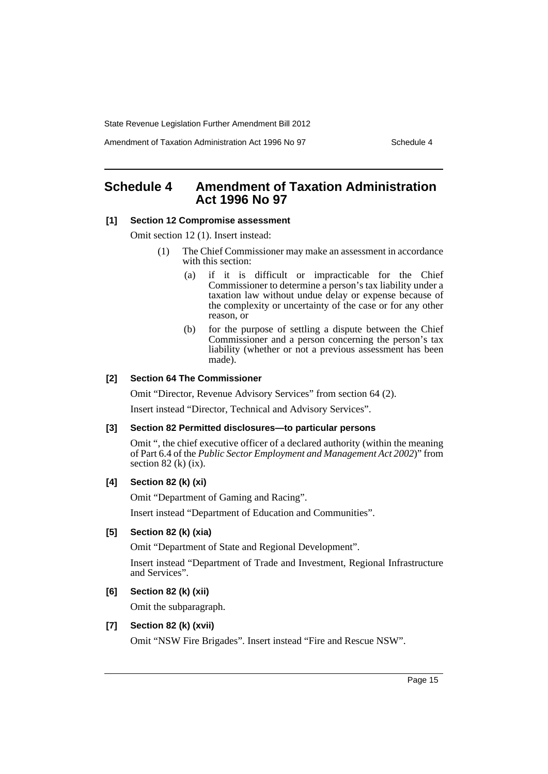Amendment of Taxation Administration Act 1996 No 97 Schedule 4

# <span id="page-16-0"></span>**Schedule 4 Amendment of Taxation Administration Act 1996 No 97**

#### **[1] Section 12 Compromise assessment**

Omit section 12 (1). Insert instead:

- (1) The Chief Commissioner may make an assessment in accordance with this section:
	- (a) if it is difficult or impracticable for the Chief Commissioner to determine a person's tax liability under a taxation law without undue delay or expense because of the complexity or uncertainty of the case or for any other reason, or
	- (b) for the purpose of settling a dispute between the Chief Commissioner and a person concerning the person's tax liability (whether or not a previous assessment has been made).

#### **[2] Section 64 The Commissioner**

Omit "Director, Revenue Advisory Services" from section 64 (2).

Insert instead "Director, Technical and Advisory Services".

#### **[3] Section 82 Permitted disclosures—to particular persons**

Omit ", the chief executive officer of a declared authority (within the meaning of Part 6.4 of the *Public Sector Employment and Management Act 2002*)" from section  $82$  (k) (ix).

#### **[4] Section 82 (k) (xi)**

Omit "Department of Gaming and Racing".

Insert instead "Department of Education and Communities".

## **[5] Section 82 (k) (xia)**

Omit "Department of State and Regional Development".

Insert instead "Department of Trade and Investment, Regional Infrastructure and Services".

## **[6] Section 82 (k) (xii)**

Omit the subparagraph.

#### **[7] Section 82 (k) (xvii)**

Omit "NSW Fire Brigades". Insert instead "Fire and Rescue NSW".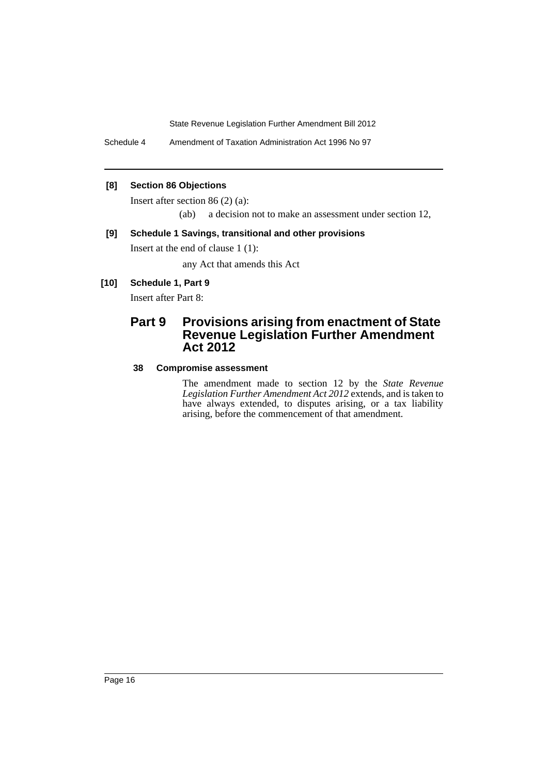Schedule 4 Amendment of Taxation Administration Act 1996 No 97

## **[8] Section 86 Objections**

Insert after section 86 (2) (a):

(ab) a decision not to make an assessment under section 12,

## **[9] Schedule 1 Savings, transitional and other provisions**

Insert at the end of clause 1 (1):

any Act that amends this Act

## **[10] Schedule 1, Part 9**

Insert after Part 8:

# **Part 9 Provisions arising from enactment of State Revenue Legislation Further Amendment Act 2012**

## **38 Compromise assessment**

The amendment made to section 12 by the *State Revenue Legislation Further Amendment Act 2012* extends, and is taken to have always extended, to disputes arising, or a tax liability arising, before the commencement of that amendment.